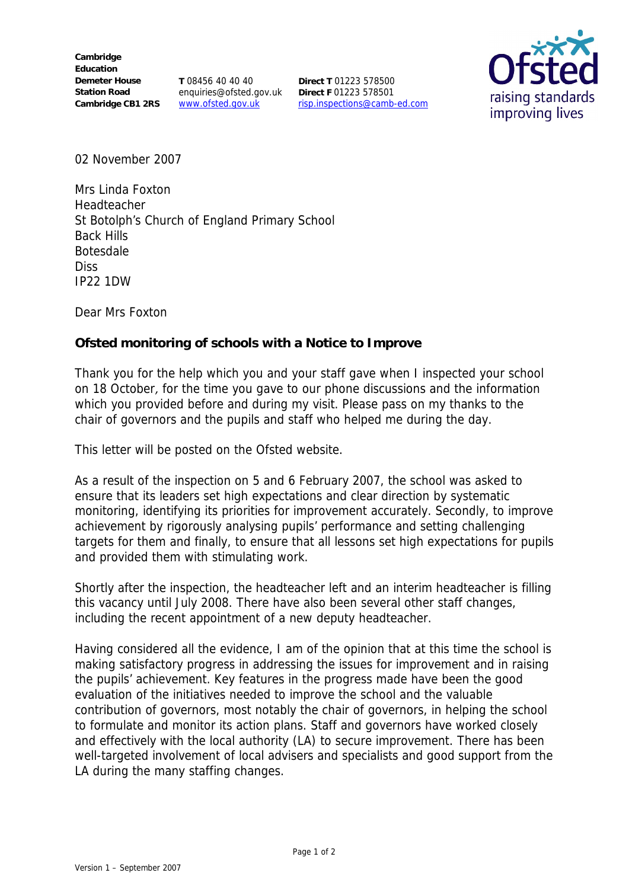**Cambridge Education Demeter House Station Road** Cambridge CB1 2RS www.ofsted.gov.uk

**T** 08456 40 40 40 enquiries@ofsted.gov.uk

**Direct T** 01223 578500 **Direct F** 01223 578501 risp.inspections@camb-ed.com



02 November 2007

Mrs Linda Foxton Headteacher St Botolph's Church of England Primary School Back Hills Botesdale **Diss** IP22 1DW

Dear Mrs Foxton

**Ofsted monitoring of schools with a Notice to Improve**

Thank you for the help which you and your staff gave when I inspected your school on 18 October, for the time you gave to our phone discussions and the information which you provided before and during my visit. Please pass on my thanks to the chair of governors and the pupils and staff who helped me during the day.

This letter will be posted on the Ofsted website.

As a result of the inspection on 5 and 6 February 2007, the school was asked to ensure that its leaders set high expectations and clear direction by systematic monitoring, identifying its priorities for improvement accurately. Secondly, to improve achievement by rigorously analysing pupils' performance and setting challenging targets for them and finally, to ensure that all lessons set high expectations for pupils and provided them with stimulating work.

Shortly after the inspection, the headteacher left and an interim headteacher is filling this vacancy until July 2008. There have also been several other staff changes, including the recent appointment of a new deputy headteacher.

Having considered all the evidence, I am of the opinion that at this time the school is making satisfactory progress in addressing the issues for improvement and in raising the pupils' achievement. Key features in the progress made have been the good evaluation of the initiatives needed to improve the school and the valuable contribution of governors, most notably the chair of governors, in helping the school to formulate and monitor its action plans. Staff and governors have worked closely and effectively with the local authority (LA) to secure improvement. There has been well-targeted involvement of local advisers and specialists and good support from the LA during the many staffing changes.